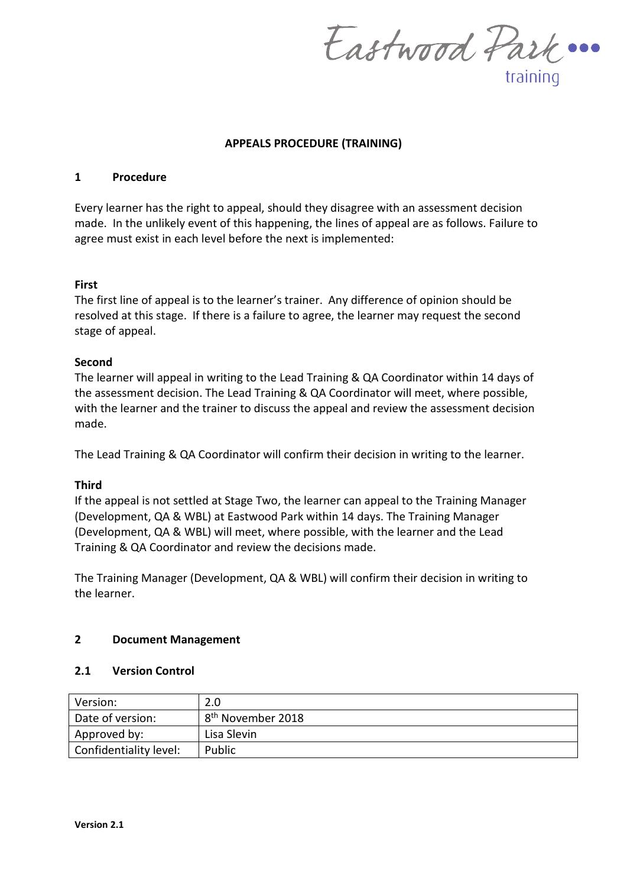Eastwood Park ... training

# **APPEALS PROCEDURE (TRAINING)**

### **1 Procedure**

Every learner has the right to appeal, should they disagree with an assessment decision made. In the unlikely event of this happening, the lines of appeal are as follows. Failure to agree must exist in each level before the next is implemented:

## **First**

The first line of appeal is to the learner's trainer. Any difference of opinion should be resolved at this stage. If there is a failure to agree, the learner may request the second stage of appeal.

## **Second**

The learner will appeal in writing to the Lead Training & QA Coordinator within 14 days of the assessment decision. The Lead Training & QA Coordinator will meet, where possible, with the learner and the trainer to discuss the appeal and review the assessment decision made.

The Lead Training & QA Coordinator will confirm their decision in writing to the learner.

#### **Third**

If the appeal is not settled at Stage Two, the learner can appeal to the Training Manager (Development, QA & WBL) at Eastwood Park within 14 days. The Training Manager (Development, QA & WBL) will meet, where possible, with the learner and the Lead Training & QA Coordinator and review the decisions made.

The Training Manager (Development, QA & WBL) will confirm their decision in writing to the learner.

## **2 Document Management**

#### **2.1 Version Control**

| Version:               | 2.0                           |  |
|------------------------|-------------------------------|--|
| Date of version:       | 8 <sup>th</sup> November 2018 |  |
| Approved by:           | Lisa Slevin                   |  |
| Confidentiality level: | Public                        |  |